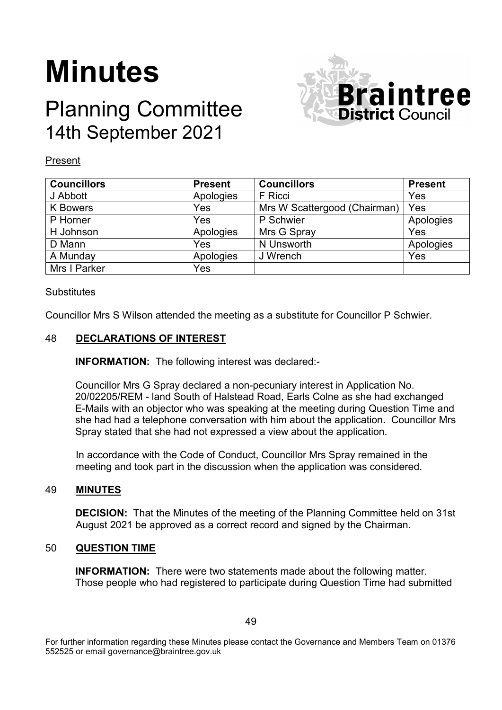# **Minutes**

## Planning Committee 14th September 2021



### Present

| <b>Councillors</b> | <b>Present</b> | <b>Councillors</b>           | <b>Present</b> |
|--------------------|----------------|------------------------------|----------------|
| J Abbott           | Apologies      | F Ricci                      | Yes            |
| <b>K</b> Bowers    | Yes            | Mrs W Scattergood (Chairman) | Yes            |
| P Horner           | Yes            | P Schwier                    | Apologies      |
| H Johnson          | Apologies      | Mrs G Spray                  | Yes            |
| D Mann             | Yes            | N Unsworth                   | Apologies      |
| A Munday           | Apologies      | J Wrench                     | Yes            |
| Mrs I Parker       | Yes            |                              |                |

#### **Substitutes**

Councillor Mrs S Wilson attended the meeting as a substitute for Councillor P Schwier.

#### 48 **DECLARATIONS OF INTEREST**

**INFORMATION:** The following interest was declared:-

Councillor Mrs G Spray declared a non-pecuniary interest in Application No. 20/02205/REM - land South of Halstead Road, Earls Colne as she had exchanged E-Mails with an objector who was speaking at the meeting during Question Time and she had had a telephone conversation with him about the application. Councillor Mrs Spray stated that she had not expressed a view about the application.

In accordance with the Code of Conduct, Councillor Mrs Spray remained in the meeting and took part in the discussion when the application was considered.

#### 49 **MINUTES**

**DECISION:** That the Minutes of the meeting of the Planning Committee held on 31st August 2021 be approved as a correct record and signed by the Chairman.

#### 50 **QUESTION TIME**

**INFORMATION:** There were two statements made about the following matter. Those people who had registered to participate during Question Time had submitted

For further information regarding these Minutes please contact the Governance and Members Team on 01376 552525 or email governance@braintree.gov.uk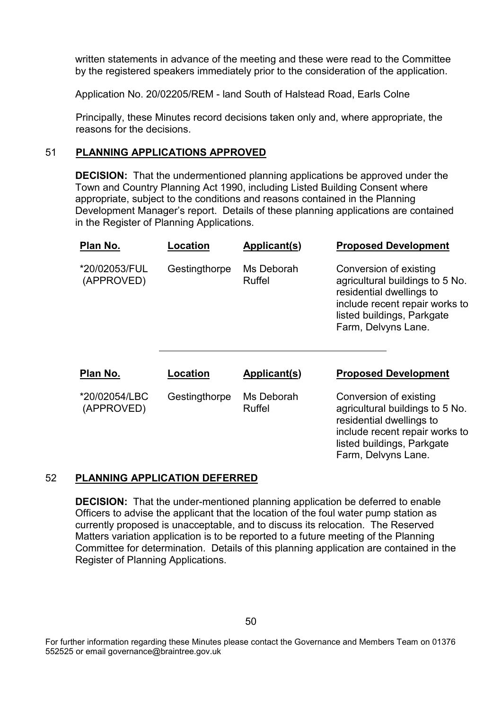written statements in advance of the meeting and these were read to the Committee by the registered speakers immediately prior to the consideration of the application.

Application No. 20/02205/REM - land South of Halstead Road, Earls Colne

Principally, these Minutes record decisions taken only and, where appropriate, the reasons for the decisions.

#### 51 **PLANNING APPLICATIONS APPROVED**

**DECISION:** That the undermentioned planning applications be approved under the Town and Country Planning Act 1990, including Listed Building Consent where appropriate, subject to the conditions and reasons contained in the Planning Development Manager's report. Details of these planning applications are contained in the Register of Planning Applications.

| Plan No.                    | Location      | Applicant(s)                | <b>Proposed Development</b>                                                                                                                                                  |
|-----------------------------|---------------|-----------------------------|------------------------------------------------------------------------------------------------------------------------------------------------------------------------------|
| *20/02053/FUL<br>(APPROVED) | Gestingthorpe | Ms Deborah<br>Ruffel        | Conversion of existing<br>agricultural buildings to 5 No.<br>residential dwellings to<br>include recent repair works to<br>listed buildings, Parkgate<br>Farm, Delvyns Lane. |
| Plan No.                    | Location      | Applicant(s)                | <b>Proposed Development</b>                                                                                                                                                  |
| *20/02054/LBC<br>(APPROVED) | Gestingthorpe | Ms Deborah<br><b>Ruffel</b> | Conversion of existing<br>agricultural buildings to 5 No.<br>residential dwellings to<br>include recent repair works to<br>listed buildings, Parkgate<br>Farm, Delvyns Lane. |

#### 52 **PLANNING APPLICATION DEFERRED**

**DECISION:** That the under-mentioned planning application be deferred to enable Officers to advise the applicant that the location of the foul water pump station as currently proposed is unacceptable, and to discuss its relocation. The Reserved Matters variation application is to be reported to a future meeting of the Planning Committee for determination. Details of this planning application are contained in the Register of Planning Applications.

For further information regarding these Minutes please contact the Governance and Members Team on 01376 552525 or email governance@braintree.gov.uk